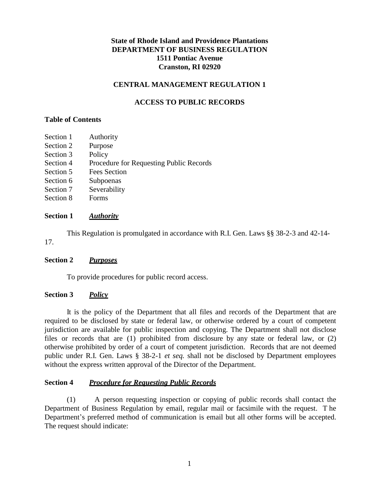## **State of Rhode Island and Providence Plantations DEPARTMENT OF BUSINESS REGULATION 1511 Pontiac Avenue Cranston, RI 02920**

### **CENTRAL MANAGEMENT REGULATION 1**

### **ACCESS TO PUBLIC RECORDS**

#### **Table of Contents**

- Section 1 Authority
- Section 2 Purpose
- Section 3 Policy
- Section 4 Procedure for Requesting Public Records
- Section 5 Fees Section
- Section 6 Subpoenas
- Section 7 Severability
- Section 8 Forms

### **Section 1** *Authority*

17. This Regulation is promulgated in accordance with R.I. Gen. Laws §§ 38-2-3 and 42-14-

### **Section 2** *Purposes*

To provide procedures for public record access.

### **Section 3** *Policy*

It is the policy of the Department that all files and records of the Department that are required to be disclosed by state or federal law, or otherwise ordered by a court of competent jurisdiction are available for public inspection and copying. The Department shall not disclose files or records that are (1) prohibited from disclosure by any state or federal law, or (2) otherwise prohibited by order of a court of competent jurisdiction. Records that are not deemed public under R.I. Gen. Laws § 38-2-1 *et seq.* shall not be disclosed by Department employees without the express written approval of the Director of the Department.

### **Section 4** *Procedure for Requesting Public Records*

(1) A person requesting inspection or copying of public records shall contact the Department of Business Regulation by email, regular mail or facsimile with the request. T he Department's preferred method of communication is email but all other forms will be accepted. The request should indicate: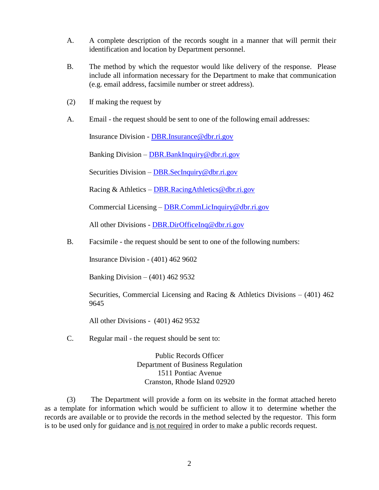- A. A complete description of the records sought in a manner that will permit their identification and location by Department personnel.
- B. The method by which the requestor would like delivery of the response. Please include all information necessary for the Department to make that communication (e.g. email address, facsimile number or street address).
- (2) If making the request by
- A. Email the request should be sent to one of the following email addresses:

Insurance Division - [DBR.Insurance@dbr.ri.gov](mailto:dbr.insurance@dbr.ri.gov)

Banking Division – [DBR.BankInquiry@dbr.ri.gov](mailto:dbr.bankinquiry@dbr.ri.gov)

Securities Division – [DBR.SecInquiry@dbr.ri.go](mailto:dbr.secinquiry@dbr.ri.gov)v

Racing & Athletics – [DBR.RacingAthletics@dbr.ri.gov](mailto:dbr.racingathletics@dbr.ri.gov)

Commercial Licensing – [DBR.CommLicInquiry@dbr.ri.gov](mailto:dbr.commlicinquiry@dbr.ri.gov)

All other Divisions - [DBR.DirOfficeInq@dbr.ri.gov](mailto:dbr.dirofficeinq@dbr.ri.gov)

B. Facsimile - the request should be sent to one of the following numbers:

Insurance Division - (401) 462 9602

Banking Division – (401) 462 9532

Securities, Commercial Licensing and Racing & Athletics Divisions  $- (401)$  462 9645

All other Divisions - (401) 462 9532

C. Regular mail - the request should be sent to:

Public Records Officer Department of Business Regulation 1511 Pontiac Avenue Cranston, Rhode Island 02920

(3) The Department will provide a form on its website in the format attached hereto as a template for information which would be sufficient to allow it to determine whether the records are available or to provide the records in the method selected by the requestor. This form is to be used only for guidance and is not required in order to make a public records request.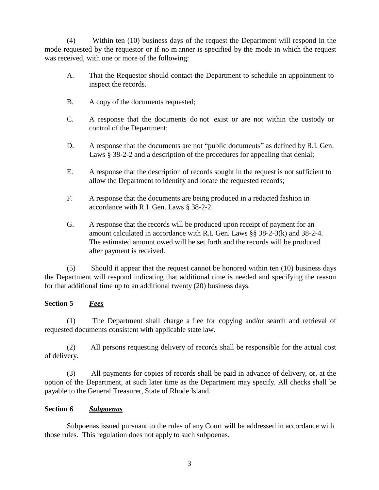(4) Within ten (10) business days of the request the Department will respond in the mode requested by the requestor or if no m anner is specified by the mode in which the request was received, with one or more of the following:

- A. That the Requestor should contact the Department to schedule an appointment to inspect the records.
- B. A copy of the documents requested;
- C. A response that the documents do not exist or are not within the custody or control of the Department;
- D. A response that the documents are not "public documents" as defined by R.I. Gen. Laws § 38-2-2 and a description of the procedures for appealing that denial;
- E. A response that the description of records sought in the request is not sufficient to allow the Department to identify and locate the requested records;
- F. A response that the documents are being produced in a redacted fashion in accordance with R.I. Gen. Laws § 38-2-2.
- G. A response that the records will be produced upon receipt of payment for an amount calculated in accordance with R.I. Gen. Laws §§ 38-2-3(k) and 38-2-4. The estimated amount owed will be set forth and the records will be produced after payment is received.

(5) Should it appear that the request cannot be honored within ten (10) business days the Department will respond indicating that additional time is needed and specifying the reason for that additional time up to an additional twenty (20) business days.

# **Section 5** *Fees*

(1) The Department shall charge a f ee for copying and/or search and retrieval of requested documents consistent with applicable state law.

(2) All persons requesting delivery of records shall be responsible for the actual cost of delivery.

(3) All payments for copies of records shall be paid in advance of delivery, or, at the option of the Department, at such later time as the Department may specify. All checks shall be payable to the General Treasurer, State of Rhode Island.

## **Section 6** *Subpoenas*

Subpoenas issued pursuant to the rules of any Court will be addressed in accordance with those rules. This regulation does not apply to such subpoenas.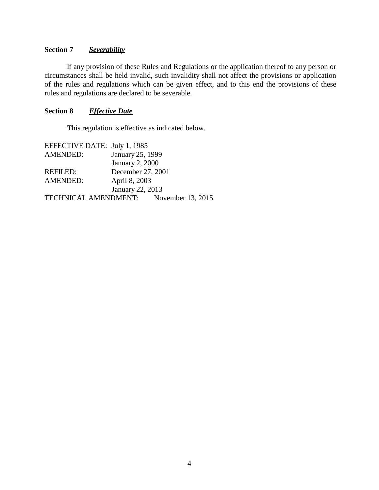### **Section 7** *Severability*

If any provision of these Rules and Regulations or the application thereof to any person or circumstances shall be held invalid, such invalidity shall not affect the provisions or application of the rules and regulations which can be given effect, and to this end the provisions of these rules and regulations are declared to be severable.

### **Section 8** *Effective Date*

This regulation is effective as indicated below.

| EFFECTIVE DATE: July 1, 1985 |                        |                   |
|------------------------------|------------------------|-------------------|
| <b>AMENDED:</b>              | January 25, 1999       |                   |
|                              | <b>January 2, 2000</b> |                   |
| REFILED:                     | December 27, 2001      |                   |
| <b>AMENDED:</b>              | April 8, 2003          |                   |
| January 22, 2013             |                        |                   |
| TECHNICAL AMENDMENT:         |                        | November 13, 2015 |